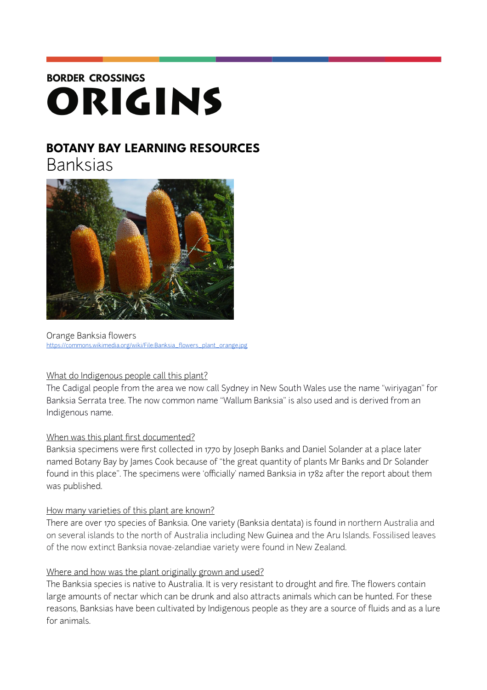# **BORDER CROSSINGS** ORIGINS

# **BOTANY BAY LEARNING RESOURCES**

Banksias



Orange Banksia flowers [https://commons.wikimedia.org/wiki/File:Banksia\\_flowers\\_plant\\_orange.jpg](https://commons.wikimedia.org/wiki/File:Banksia_flowers_plant_orange.jpg)

# What do Indigenous people call this plant?

The Cadigal people from the area we now call Sydney in New South Wales use the name "wiriyagan" for Banksia Serrata tree. The now common name "Wallum Banksia" is also used and is derived from an Indigenous name.

# When was this plant first documented?

Banksia specimens were first collected in 1770 by Joseph Banks and Daniel Solander at a place later named Botany Bay by James Cook because of "the great quantity of plants Mr Banks and Dr Solander found in this place". The specimens were 'officially' named Banksia in 1782 after the report about them was published.

# How many varieties of this plant are known?

There are over 170 species of Banksia. One variety (Banksia dentata) is found in northern Australia and on several islands to the north of Australia including New Guinea and the Aru Islands. Fossilised leaves of the now extinct Banksia novae-zelandiae variety were found in New Zealand.

# Where and how was the plant originally grown and used?

The Banksia species is native to Australia. It is very resistant to drought and fire. The flowers contain large amounts of nectar which can be drunk and also attracts animals which can be hunted. For these reasons, Banksias have been cultivated by Indigenous people as they are a source of fluids and as a lure for animals.